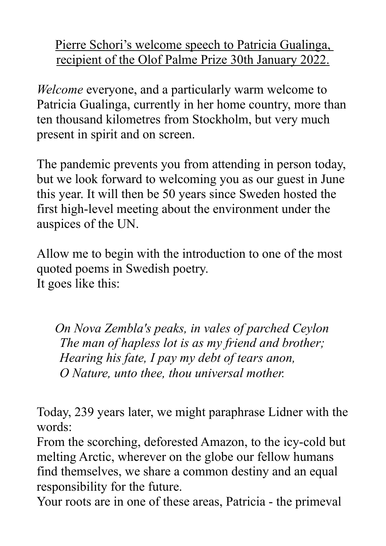Pierre Schori's welcome speech to Patricia Gualinga, recipient of the Olof Palme Prize 30th January 2022.

*Welcome* everyone, and a particularly warm welcome to Patricia Gualinga, currently in her home country, more than ten thousand kilometres from Stockholm, but very much present in spirit and on screen.

The pandemic prevents you from attending in person today, but we look forward to welcoming you as our guest in June this year. It will then be 50 years since Sweden hosted the first high-level meeting about the environment under the auspices of the UN.

Allow me to begin with the introduction to one of the most quoted poems in Swedish poetry. It goes like this:

*On Nova Zembla's peaks, in vales of parched Ceylon The man of hapless lot is as my friend and brother; Hearing his fate, I pay my debt of tears anon, O Nature, unto thee, thou universal mother.* 

Today, 239 years later, we might paraphrase Lidner with the words:

From the scorching, deforested Amazon, to the icy-cold but melting Arctic, wherever on the globe our fellow humans find themselves, we share a common destiny and an equal responsibility for the future.

Your roots are in one of these areas, Patricia - the primeval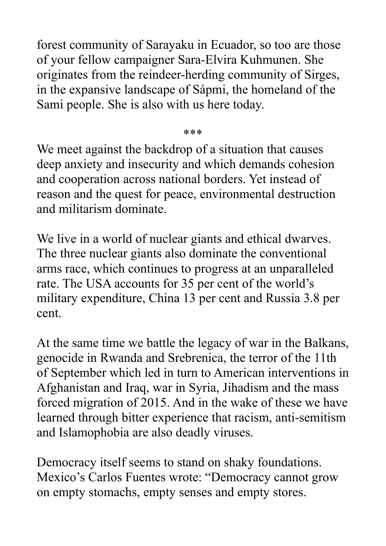forest community of Sarayaku in Ecuador, so too are those of your fellow campaigner Sara-Elvira Kuhmunen. She originates from the reindeer-herding community of Sirges, in the expansive landscape of Sápmi, the homeland of the Sami people. She is also with us here today.

\*\*\*

We meet against the backdrop of a situation that causes deep anxiety and insecurity and which demands cohesion and cooperation across national borders. Yet instead of reason and the quest for peace, environmental destruction and militarism dominate.

We live in a world of nuclear giants and ethical dwarves. The three nuclear giants also dominate the conventional arms race, which continues to progress at an unparalleled rate. The USA accounts for 35 per cent of the world's military expenditure, China 13 per cent and Russia 3.8 per cent.

At the same time we battle the legacy of war in the Balkans, genocide in Rwanda and Srebrenica, the terror of the 11th of September which led in turn to American interventions in Afghanistan and Iraq, war in Syria, Jihadism and the mass forced migration of 2015. And in the wake of these we have learned through bitter experience that racism, anti-semitism and Islamophobia are also deadly viruses.

Democracy itself seems to stand on shaky foundations. Mexico's Carlos Fuentes wrote: "Democracy cannot grow on empty stomachs, empty senses and empty stores.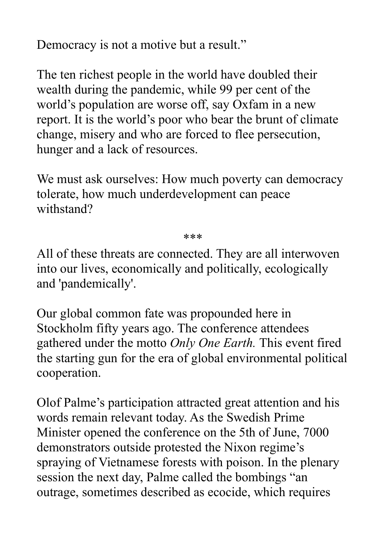Democracy is not a motive but a result."

The ten richest people in the world have doubled their wealth during the pandemic, while 99 per cent of the world's population are worse off, say Oxfam in a new report. It is the world's poor who bear the brunt of climate change, misery and who are forced to flee persecution, hunger and a lack of resources.

We must ask ourselves: How much poverty can democracy tolerate, how much underdevelopment can peace withstand?

\*\*\*

All of these threats are connected. They are all interwoven into our lives, economically and politically, ecologically and 'pandemically'.

Our global common fate was propounded here in Stockholm fifty years ago. The conference attendees gathered under the motto *Only One Earth.* This event fired the starting gun for the era of global environmental political cooperation.

Olof Palme's participation attracted great attention and his words remain relevant today. As the Swedish Prime Minister opened the conference on the 5th of June, 7000 demonstrators outside protested the Nixon regime's spraying of Vietnamese forests with poison. In the plenary session the next day, Palme called the bombings "an outrage, sometimes described as ecocide, which requires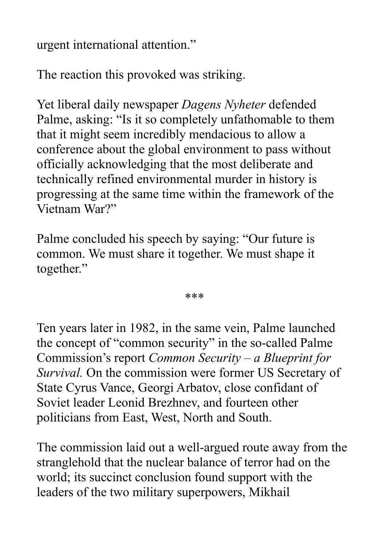urgent international attention."

The reaction this provoked was striking.

Yet liberal daily newspaper *Dagens Nyheter* defended Palme, asking: "Is it so completely unfathomable to them that it might seem incredibly mendacious to allow a conference about the global environment to pass without officially acknowledging that the most deliberate and technically refined environmental murder in history is progressing at the same time within the framework of the Vietnam War?"

Palme concluded his speech by saying: "Our future is common. We must share it together. We must shape it together."

\*\*\*

Ten years later in 1982, in the same vein, Palme launched the concept of "common security" in the so-called Palme Commission's report *Common Security – a Blueprint for Survival.* On the commission were former US Secretary of State Cyrus Vance, Georgi Arbatov, close confidant of Soviet leader Leonid Brezhnev, and fourteen other politicians from East, West, North and South.

The commission laid out a well-argued route away from the stranglehold that the nuclear balance of terror had on the world; its succinct conclusion found support with the leaders of the two military superpowers, Mikhail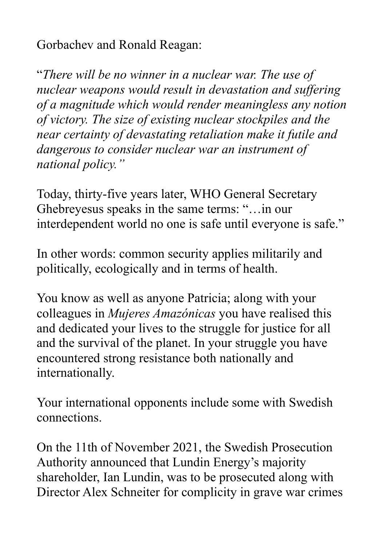Gorbachev and Ronald Reagan:

"*There will be no winner in a nuclear war. The use of nuclear weapons would result in devastation and suffering of a magnitude which would render meaningless any notion of victory. The size of existing nuclear stockpiles and the near certainty of devastating retaliation make it futile and dangerous to consider nuclear war an instrument of national policy."*

Today, thirty-five years later, WHO General Secretary Ghebreyesus speaks in the same terms: "…in our interdependent world no one is safe until everyone is safe."

In other words: common security applies militarily and politically, ecologically and in terms of health.

You know as well as anyone Patricia; along with your colleagues in *Mujeres Amazónicas* you have realised this and dedicated your lives to the struggle for justice for all and the survival of the planet. In your struggle you have encountered strong resistance both nationally and internationally.

Your international opponents include some with Swedish connections.

On the 11th of November 2021, the Swedish Prosecution Authority announced that Lundin Energy's majority shareholder, Ian Lundin, was to be prosecuted along with Director Alex Schneiter for complicity in grave war crimes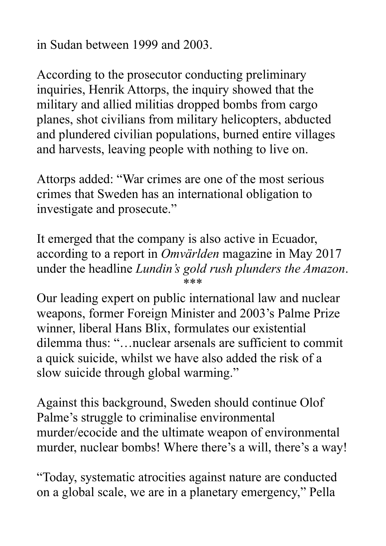in Sudan between 1999 and 2003.

According to the prosecutor conducting preliminary inquiries, Henrik Attorps, the inquiry showed that the military and allied militias dropped bombs from cargo planes, shot civilians from military helicopters, abducted and plundered civilian populations, burned entire villages and harvests, leaving people with nothing to live on.

Attorps added: "War crimes are one of the most serious crimes that Sweden has an international obligation to investigate and prosecute."

It emerged that the company is also active in Ecuador, according to a report in *Omvärlden* magazine in May 2017 under the headline *Lundin's gold rush plunders the Amazon*. \*\*\*

Our leading expert on public international law and nuclear weapons, former Foreign Minister and 2003's Palme Prize winner, liberal Hans Blix, formulates our existential dilemma thus: "…nuclear arsenals are sufficient to commit a quick suicide, whilst we have also added the risk of a slow suicide through global warming."

Against this background, Sweden should continue Olof Palme's struggle to criminalise environmental murder/ecocide and the ultimate weapon of environmental murder, nuclear bombs! Where there's a will, there's a way!

"Today, systematic atrocities against nature are conducted on a global scale, we are in a planetary emergency," Pella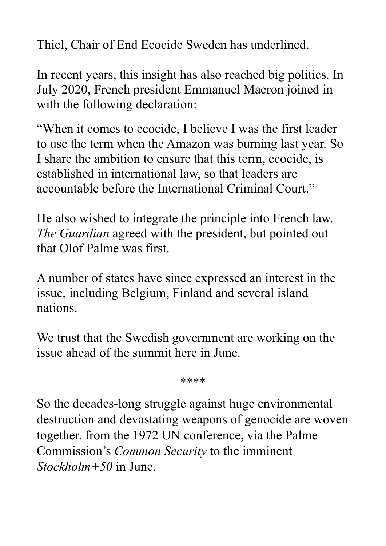Thiel, Chair of End Ecocide Sweden has underlined.

In recent years, this insight has also reached big politics. In July 2020, French president Emmanuel Macron joined in with the following declaration:

"When it comes to ecocide, I believe I was the first leader to use the term when the Amazon was burning last year. So I share the ambition to ensure that this term, ecocide, is established in international law, so that leaders are accountable before the International Criminal Court."

He also wished to integrate the principle into French law. *The Guardian* agreed with the president, but pointed out that Olof Palme was first.

A number of states have since expressed an interest in the issue, including Belgium, Finland and several island nations.

We trust that the Swedish government are working on the issue ahead of the summit here in June.

\*\*\*\*

So the decades-long struggle against huge environmental destruction and devastating weapons of genocide are woven together. from the 1972 UN conference, via the Palme Commission's *Common Security* to the imminent *Stockholm+50* in June.